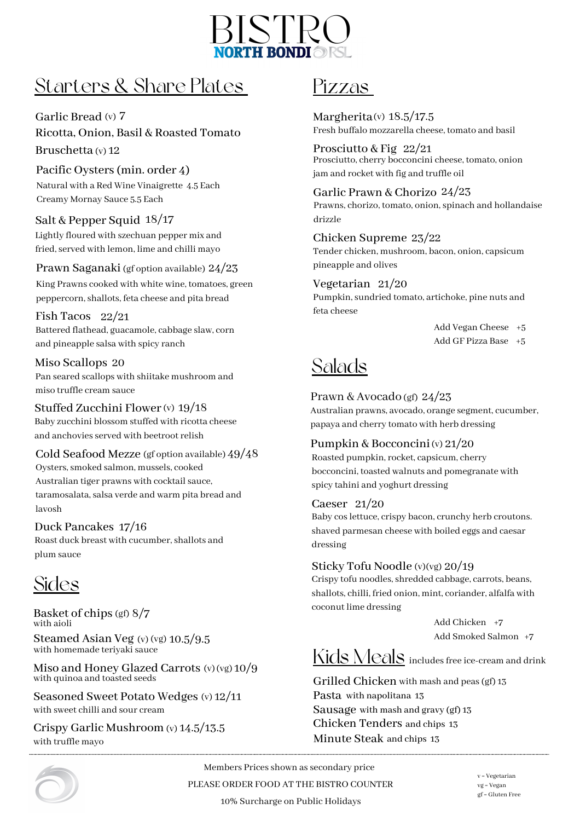

### Starters & Share Plates

Garlic Bread (v) 7 Ricotta, Onion, Basil & Roasted Tomato Bruschetta (v) 12

Pacific Oysters(min. order 4) Natural with a Red Wine Vinaigrette 4.5 Each Creamy Mornay Sauce 5.5 Each

### Salt & Pepper Squid 18/17

Lightly floured with szechuan pepper mix and fried, served with lemon, lime and chilli mayo

Prawn Saganaki 24/23 (gf option available)

King Prawns cooked with white wine, tomatoes, green peppercorn,shallots, feta cheese and pita bread

Fish Tacos 22/21 Battered flathead, guacamole, cabbage slaw, corn and pineapple salsa with spicy ranch

Miso Scallops 20 Pan seared scallops with shiitake mushroom and miso truffle cream sauce

Stuffed Zucchini Flower (v) 19/18 Baby zucchini blossom stuffed with ricotta cheese and anchovies served with beetroot relish

Cold Seafood Mezze 49/48 (gf option available) Oysters, smoked salmon, mussels, cooked Australian tiger prawns with cocktail sauce, taramosalata, salsa verde and warm pita bread and lavosh

Duck Pancakes 17/16 Roast duck breast with cucumber, shallots and plum sauce

# Sides

Basket of chips 8/7 (gf) Steamed Asian Veg (v) (vg) 10.5/9.5 with aioli

with homemade teriyaki sauce

Miso and Honey Glazed Carrots (v)(vg) 10/9 with quinoa and toasted seeds

Seasoned Sweet Potato Wedges (v) 12/11 with sweet chilli and sour cream

Crispy Garlic Mushroom (v) 14.5/13.5 with truffle mayo



### Pizzas

Margherita $(v)$  18.5/17.5 Fresh buffalo mozzarella cheese, tomato and basil

Prosciutto & Fig 22/21 Prosciutto, cherry bocconcini cheese, tomato, onion jam and rocket with fig and truffle oil

Garlic Prawn & Chorizo 24/23 Prawns, chorizo, tomato, onion, spinach and hollandaise drizzle

Chicken Supreme 23/22 Tender chicken, mushroom, bacon, onion, capsicum pineapple and olives

Vegetarian 21/20 Pumpkin, sundried tomato, artichoke, pine nuts and feta cheese

> Add Vegan Cheese +5 Add GF Pizza Base +5

# Salads

Prawn & Avocado 24/23 (gf)

Australian prawns, avocado, orange segment, cucumber, papaya and cherry tomato with herb dressing

Pumpkin & Bocconcini (v) 21/20 Roasted pumpkin, rocket, capsicum, cherry bocconcini, toasted walnuts and pomegranate with spicy tahini and yoghurt dressing

#### Caeser 21/20

Baby coslettuce, crispy bacon, crunchy herb croutons. shaved parmesan cheese with boiled eggs and caesar dressing

#### Sticky Tofu Noodle 20/19 (v)(vg)

Crispy tofu noodles, shredded cabbage, carrots, beans, shallots, chilli, fried onion, mint, coriander, alfalfa with coconut lime dressing

> Add Chicken +7 Add Smoked Salmon +7

# Kids Meals includes free ice-cream and drink

Grilled Chicken with mash and peas (gf) 13 Pasta with napolitana 13 Sausage with mash and gravy (gf) 13 Chicken Tenders and chips 13 Minute Steak and chips 13

Members Prices shown as secondary price PLEASE ORDER FOOD AT THE BISTRO COUNTER 10% Surcharge on Public Holidays

v = Vegetarian vg = Vegan gf = Gluten Free